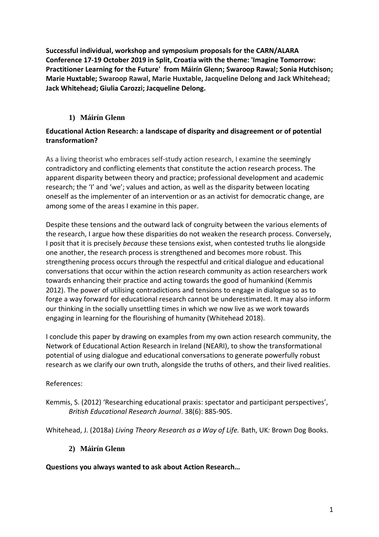**Successful individual, workshop and symposium proposals for the CARN/ALARA Conference [17-19 October 2019 in Split, Croatia with the theme: 'Imagine Tomorrow:](https://carn-alara2019.org/abstract-submission-form)  [Practitioner Learning for the Future'](https://carn-alara2019.org/abstract-submission-form) from Máirín Glenn; Swaroop Rawal; Sonia Hutchison; Marie Huxtable; Swaroop Rawal, Marie Huxtable, Jacqueline Delong and Jack Whitehead; Jack Whitehead; Giulia Carozzi; Jacqueline Delong.**

# **1) Máirín Glenn**

## **Educational Action Research: a landscape of disparity and disagreement or of potential transformation?**

As a living theorist who embraces self-study action research, I examine the seemingly contradictory and conflicting elements that constitute the action research process. The apparent disparity between theory and practice; professional development and academic research; the 'I' and 'we'; values and action, as well as the disparity between locating oneself as the implementer of an intervention or as an activist for democratic change, are among some of the areas I examine in this paper.

Despite these tensions and the outward lack of congruity between the various elements of the research, I argue how these disparities do not weaken the research process. Conversely, I posit that it is precisely *because* these tensions exist, when contested truths lie alongside one another, the research process is strengthened and becomes more robust. This strengthening process occurs through the respectful and critical dialogue and educational conversations that occur within the action research community as action researchers work towards enhancing their practice and acting towards the good of humankind (Kemmis 2012). The power of utilising contradictions and tensions to engage in dialogue so as to forge a way forward for educational research cannot be underestimated. It may also inform our thinking in the socially unsettling times in which we now live as we work towards engaging in learning for the flourishing of humanity (Whitehead 2018).

I conclude this paper by drawing on examples from my own action research community, the Network of Educational Action Research in Ireland (NEARI), to show the transformational potential of using dialogue and educational conversations to generate powerfully robust research as we clarify our own truth, alongside the truths of others, and their lived realities.

### References:

Kemmis, S. (2012) 'Researching educational praxis: spectator and participant perspectives', *British Educational Research Journal*. 38(6): 885-905.

Whitehead, J. (2018a) *Living Theory Research as a Way of Life.* Bath, UK*:* Brown Dog Books.

# **2) Máirín Glenn**

**Questions you always wanted to ask about Action Research…**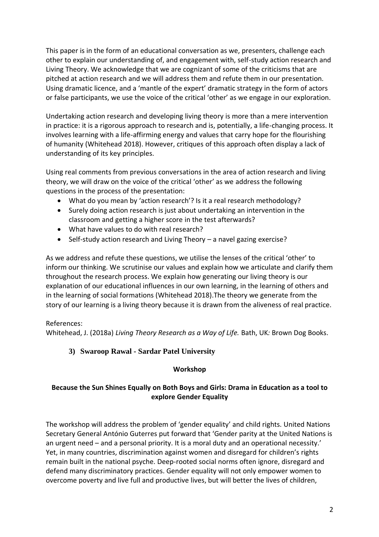This paper is in the form of an educational conversation as we, presenters, challenge each other to explain our understanding of, and engagement with, self-study action research and Living Theory. We acknowledge that we are cognizant of some of the criticisms that are pitched at action research and we will address them and refute them in our presentation. Using dramatic licence, and a 'mantle of the expert' dramatic strategy in the form of actors or false participants, we use the voice of the critical 'other' as we engage in our exploration.

Undertaking action research and developing living theory is more than a mere intervention in practice: it is a rigorous approach to research and is, potentially, a life-changing process. It involves learning with a life-affirming energy and values that carry hope for the flourishing of humanity (Whitehead 2018). However, critiques of this approach often display a lack of understanding of its key principles.

Using real comments from previous conversations in the area of action research and living theory, we will draw on the voice of the critical 'other' as we address the following questions in the process of the presentation:

- What do you mean by 'action research'? Is it a real research methodology?
- Surely doing action research is just about undertaking an intervention in the classroom and getting a higher score in the test afterwards?
- What have values to do with real research?
- Self-study action research and Living Theory a navel gazing exercise?

As we address and refute these questions, we utilise the lenses of the critical 'other' to inform our thinking. We scrutinise our values and explain how we articulate and clarify them throughout the research process. We explain how generating our living theory is our explanation of our educational influences in our own learning, in the learning of others and in the learning of social formations (Whitehead 2018).The theory we generate from the story of our learning is a living theory because it is drawn from the aliveness of real practice.

### References:

Whitehead, J. (2018a) *Living Theory Research as a Way of Life.* Bath, UK*:* Brown Dog Books.

# **3) Swaroop Rawal - Sardar Patel University**

### **Workshop**

## **Because the Sun Shines Equally on Both Boys and Girls: Drama in Education as a tool to explore Gender Equality**

The workshop will address the problem of 'gender equality' and child rights. United Nations Secretary General António Guterres put forward that 'Gender parity at the United Nations is an urgent need – and a personal priority. It is a moral duty and an operational necessity.' Yet, in many countries, discrimination against women and disregard for children's rights remain built in the national psyche. Deep-rooted social norms often ignore, disregard and defend many discriminatory practices. Gender equality will not only empower women to overcome poverty and live full and productive lives, but will better the lives of children,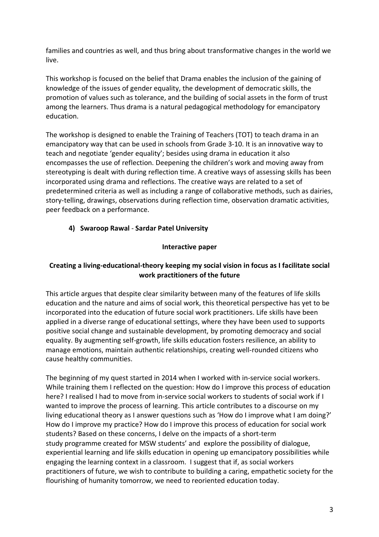families and countries as well, and thus bring about transformative changes in the world we live.

This workshop is focused on the belief that Drama enables the inclusion of the gaining of knowledge of the issues of gender equality, the development of democratic skills, the promotion of values such as tolerance, and the building of social assets in the form of trust among the learners. Thus drama is a natural pedagogical methodology for emancipatory education.

The workshop is designed to enable the Training of Teachers (TOT) to teach drama in an emancipatory way that can be used in schools from Grade 3-10. It is an innovative way to teach and negotiate 'gender equality'; besides using drama in education it also encompasses the use of reflection. Deepening the children's work and moving away from stereotyping is dealt with during reflection time. A creative ways of assessing skills has been incorporated using drama and reflections. The creative ways are related to a set of predetermined criteria as well as including a range of collaborative methods, such as dairies, story-telling, drawings, observations during reflection time, observation dramatic activities, peer feedback on a performance.

# **4) Swaroop Rawal** - **Sardar Patel University**

#### **Interactive paper**

### **Creating a living-educational-theory keeping my social vision in focus as I facilitate social work practitioners of the future**

This article argues that despite clear similarity between many of the features of life skills education and the nature and aims of social work, this theoretical perspective has yet to be incorporated into the education of future social work practitioners. Life skills have been applied in a diverse range of educational settings, where they have been used to supports positive social change and sustainable development, by promoting democracy and social equality. By augmenting self-growth, life skills education fosters resilience, an ability to manage emotions, maintain authentic relationships, creating well-rounded citizens who cause healthy communities.

The beginning of my quest started in 2014 when I worked with in-service social workers. While training them I reflected on the question: How do I improve this process of education here? I realised I had to move from in-service social workers to students of social work if I wanted to improve the process of learning. This article contributes to a discourse on my living educational theory as I answer questions such as 'How do I improve what I am doing?' How do I improve my practice? How do I improve this process of education for social work students? Based on these concerns, I delve on the impacts of a short-term study programme created for MSW students' and explore the possibility of dialogue, experiential learning and life skills education in opening up emancipatory possibilities while engaging the learning context in a classroom. I suggest that if, as social workers practitioners of future, we wish to contribute to building a caring, empathetic society for the flourishing of humanity tomorrow, we need to reoriented education today.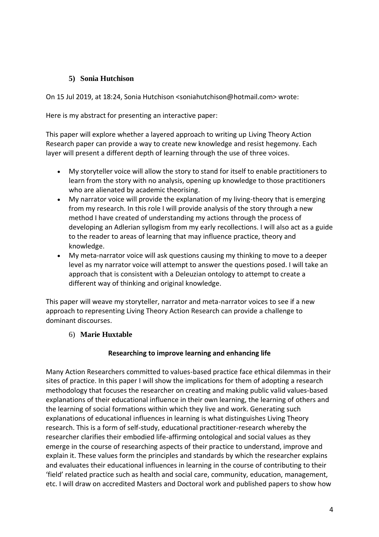## **5) Sonia Hutchison**

On 15 Jul 2019, at 18:24, Sonia Hutchison <soniahutchison@hotmail.com> wrote:

Here is my abstract for presenting an interactive paper:

This paper will explore whether a layered approach to writing up Living Theory Action Research paper can provide a way to create new knowledge and resist hegemony. Each layer will present a different depth of learning through the use of three voices.

- My storyteller voice will allow the story to stand for itself to enable practitioners to learn from the story with no analysis, opening up knowledge to those practitioners who are alienated by academic theorising.
- My narrator voice will provide the explanation of my living-theory that is emerging from my research. In this role I will provide analysis of the story through a new method I have created of understanding my actions through the process of developing an Adlerian syllogism from my early recollections. I will also act as a guide to the reader to areas of learning that may influence practice, theory and knowledge.
- My meta-narrator voice will ask questions causing my thinking to move to a deeper level as my narrator voice will attempt to answer the questions posed. I will take an approach that is consistent with a Deleuzian ontology to attempt to create a different way of thinking and original knowledge.

This paper will weave my storyteller, narrator and meta-narrator voices to see if a new approach to representing Living Theory Action Research can provide a challenge to dominant discourses.

# 6) **Marie Huxtable**

# **Researching to improve learning and enhancing life**

Many Action Researchers committed to values-based practice face ethical dilemmas in their sites of practice. In this paper I will show the implications for them of adopting a research methodology that focuses the researcher on creating and making public valid values-based explanations of their educational influence in their own learning, the learning of others and the learning of social formations within which they live and work. Generating such explanations of educational influences in learning is what distinguishes Living Theory research. This is a form of self-study, educational practitioner-research whereby the researcher clarifies their embodied life-affirming ontological and social values as they emerge in the course of researching aspects of their practice to understand, improve and explain it. These values form the principles and standards by which the researcher explains and evaluates their educational influences in learning in the course of contributing to their 'field' related practice such as health and social care, community, education, management, etc. I will draw on accredited Masters and Doctoral work and published papers to show how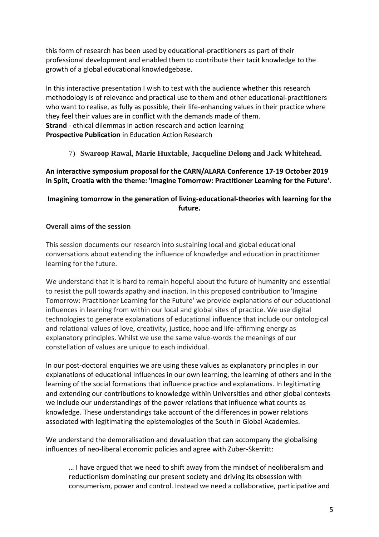this form of research has been used by educational-practitioners as part of their professional development and enabled them to contribute their tacit knowledge to the growth of a global educational knowledgebase.

In this interactive presentation I wish to test with the audience whether this research methodology is of relevance and practical use to them and other educational-practitioners who want to realise, as fully as possible, their life-enhancing values in their practice where they feel their values are in conflict with the demands made of them. **Strand** - ethical dilemmas in action research and action learning **Prospective Publication** in Education Action Research

7) **Swaroop Rawal, Marie Huxtable, Jacqueline Delong and Jack Whitehead.**

### **An interactive symposium proposal for the CARN/ALARA Conference [17-19 October 2019](https://carn-alara2019.org/abstract-submission-form)  [in Split, Croatia with the theme: 'Imagine Tomorrow: Practitioner Learning for the Future'](https://carn-alara2019.org/abstract-submission-form)**.

## **Imagining tomorrow in the generation of living-educational-theories with learning for the future.**

### **Overall aims of the session**

This session documents our research into sustaining local and global educational conversations about extending the influence of knowledge and education in practitioner learning for the future.

We understand that it is hard to remain hopeful about the future of humanity and essential to resist the pull towards apathy and inaction. In this proposed contribution to 'Imagine Tomorrow: Practitioner Learning for the Future' we provide explanations of our educational influences in learning from within our local and global sites of practice. We use digital technologies to generate explanations of educational influence that include our ontological and relational values of love, creativity, justice, hope and life-affirming energy as explanatory principles. Whilst we use the same value-words the meanings of our constellation of values are unique to each individual.

In our post-doctoral enquiries we are using these values as explanatory principles in our explanations of educational influences in our own learning, the learning of others and in the learning of the social formations that influence practice and explanations. In legitimating and extending our contributions to knowledge within Universities and other global contexts we include our understandings of the power relations that influence what counts as knowledge. These understandings take account of the differences in power relations associated with legitimating the epistemologies of the South in Global Academies.

We understand the demoralisation and devaluation that can accompany the globalising influences of neo-liberal economic policies and agree with Zuber-Skerritt:

… I have argued that we need to shift away from the mindset of neoliberalism and reductionism dominating our present society and driving its obsession with consumerism, power and control. Instead we need a collaborative, participative and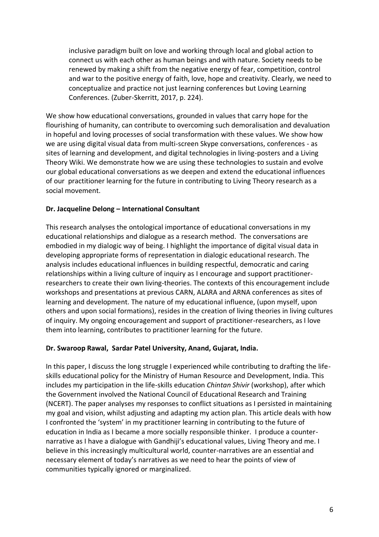inclusive paradigm built on love and working through local and global action to connect us with each other as human beings and with nature. Society needs to be renewed by making a shift from the negative energy of fear, competition, control and war to the positive energy of faith, love, hope and creativity. Clearly, we need to conceptualize and practice not just learning conferences but Loving Learning Conferences. (Zuber-Skerritt, 2017, p. 224).

We show how educational conversations, grounded in values that carry hope for the flourishing of humanity, can contribute to overcoming such demoralisation and devaluation in hopeful and loving processes of social transformation with these values. We show how we are using digital visual data from multi-screen Skype conversations, conferences - as sites of learning and development, and digital technologies in living-posters and a Living Theory Wiki. We demonstrate how we are using these technologies to sustain and evolve our global educational conversations as we deepen and extend the educational influences of our practitioner learning for the future in contributing to Living Theory research as a social movement.

### **Dr. Jacqueline Delong – International Consultant**

This research analyses the ontological importance of educational conversations in my educational relationships and dialogue as a research method. The conversations are embodied in my dialogic way of being. I highlight the importance of digital visual data in developing appropriate forms of representation in dialogic educational research. The analysis includes educational influences in building respectful, democratic and caring relationships within a living culture of inquiry as I encourage and support practitionerresearchers to create their own living-theories. The contexts of this encouragement include workshops and presentations at previous CARN, ALARA and ARNA conferences as sites of learning and development. The nature of my educational influence, (upon myself, upon others and upon social formations), resides in the creation of living theories in living cultures of inquiry. My ongoing encouragement and support of practitioner-researchers, as I love them into learning, contributes to practitioner learning for the future.

### **Dr. Swaroop Rawal, Sardar Patel University, Anand, Gujarat, India.**

In this paper, I discuss the long struggle I experienced while contributing to drafting the lifeskills educational policy for the Ministry of Human Resource and Development, India. This includes my participation in the life-skills education *Chintan Shivir* (workshop), after which the Government involved the National Council of Educational Research and Training (NCERT). The paper analyses my responses to conflict situations as I persisted in maintaining my goal and vision, whilst adjusting and adapting my action plan. This article deals with how I confronted the 'system' in my practitioner learning in contributing to the future of education in India as I became a more socially responsible thinker. I produce a counternarrative as I have a dialogue with Gandhiji's educational values, Living Theory and me. I believe in this increasingly multicultural world, counter-narratives are an essential and necessary element of today's narratives as we need to hear the points of view of communities typically ignored or marginalized.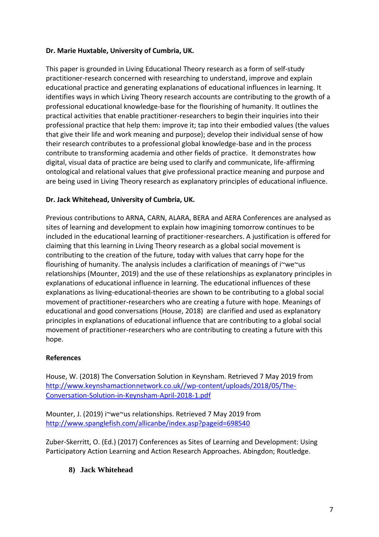## **Dr. Marie Huxtable, University of Cumbria, UK.**

This paper is grounded in Living Educational Theory research as a form of self-study practitioner-research concerned with researching to understand, improve and explain educational practice and generating explanations of educational influences in learning. It identifies ways in which Living Theory research accounts are contributing to the growth of a professional educational knowledge-base for the flourishing of humanity. It outlines the practical activities that enable practitioner-researchers to begin their inquiries into their professional practice that help them: improve it; tap into their embodied values (the values that give their life and work meaning and purpose); develop their individual sense of how their research contributes to a professional global knowledge-base and in the process contribute to transforming academia and other fields of practice. It demonstrates how digital, visual data of practice are being used to clarify and communicate, life-affirming ontological and relational values that give professional practice meaning and purpose and are being used in Living Theory research as explanatory principles of educational influence.

## **Dr. Jack Whitehead, University of Cumbria, UK.**

Previous contributions to ARNA, CARN, ALARA, BERA and AERA Conferences are analysed as sites of learning and development to explain how imagining tomorrow continues to be included in the educational learning of practitioner-researchers. A justification is offered for claiming that this learning in Living Theory research as a global social movement is contributing to the creation of the future, today with values that carry hope for the flourishing of humanity. The analysis includes a clarification of meanings of i~we~us relationships (Mounter, 2019) and the use of these relationships as explanatory principles in explanations of educational influence in learning. The educational influences of these explanations as living-educational-theories are shown to be contributing to a global social movement of practitioner-researchers who are creating a future with hope. Meanings of educational and good conversations (House, 2018) are clarified and used as explanatory principles in explanations of educational influence that are contributing to a global social movement of practitioner-researchers who are contributing to creating a future with this hope.

### **References**

House, W. (2018) The Conversation Solution in Keynsham. Retrieved 7 May 2019 from [http://www.keynshamactionnetwork.co.uk//wp-content/uploads/2018/05/The-](http://www.keynshamactionnetwork.co.uk/wp-content/uploads/2018/05/The-Conversation-Solution-in-Keynsham-April-2018-1.pdf)[Conversation-Solution-in-Keynsham-April-2018-1.pdf](http://www.keynshamactionnetwork.co.uk/wp-content/uploads/2018/05/The-Conversation-Solution-in-Keynsham-April-2018-1.pdf)

Mounter, J. (2019) i~we~us relationships. Retrieved 7 May 2019 from <http://www.spanglefish.com/allicanbe/index.asp?pageid=698540>

Zuber-Skerritt, O. (Ed.) (2017) Conferences as Sites of Learning and Development: Using Participatory Action Learning and Action Research Approaches. Abingdon; Routledge.

# **8) Jack Whitehead**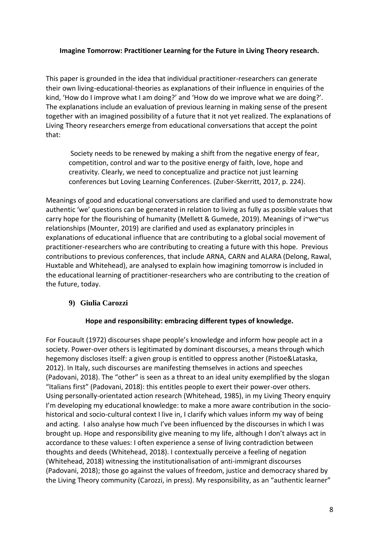#### **Imagine Tomorrow: Practitioner Learning for the Future in Living Theory research.**

This paper is grounded in the idea that individual practitioner-researchers can generate their own living-educational-theories as explanations of their influence in enquiries of the kind, 'How do I improve what I am doing?' and 'How do we improve what we are doing?'. The explanations include an evaluation of previous learning in making sense of the present together with an imagined possibility of a future that it not yet realized. The explanations of Living Theory researchers emerge from educational conversations that accept the point that:

Society needs to be renewed by making a shift from the negative energy of fear, competition, control and war to the positive energy of faith, love, hope and creativity. Clearly, we need to conceptualize and practice not just learning conferences but Loving Learning Conferences. (Zuber-Skerritt, 2017, p. 224).

Meanings of good and educational conversations are clarified and used to demonstrate how authentic 'we' questions can be generated in relation to living as fully as possible values that carry hope for the flourishing of humanity (Mellett & Gumede, 2019). Meanings of i~we~us relationships (Mounter, 2019) are clarified and used as explanatory principles in explanations of educational influence that are contributing to a global social movement of practitioner-researchers who are contributing to creating a future with this hope. Previous contributions to previous conferences, that include ARNA, CARN and ALARA (Delong, Rawal, Huxtable and Whitehead), are analysed to explain how imagining tomorrow is included in the educational learning of practitioner-researchers who are contributing to the creation of the future, today.

### **9) Giulia Carozzi**

### **Hope and responsibility: embracing different types of knowledge.**

For Foucault (1972) discourses shape people's knowledge and inform how people act in a society. Power-over others is legitimated by dominant discourses, a means through which hegemony discloses itself: a given group is entitled to oppress another (Pistoe&Lataska, 2012). In Italy, such discourses are manifesting themselves in actions and speeches (Padovani, 2018). The "other" is seen as a threat to an ideal unity exemplified by the slogan "Italians first" (Padovani, 2018): this entitles people to exert their power-over others. Using personally-orientated action research (Whitehead, 1985), in my Living Theory enquiry I'm developing my educational knowledge: to make a more aware contribution in the sociohistorical and socio-cultural context I live in, I clarify which values inform my way of being and acting. I also analyse how much I've been influenced by the discourses in which I was brought up. Hope and responsibility give meaning to my life, although I don't always act in accordance to these values: I often experience a sense of living contradiction between thoughts and deeds (Whitehead, 2018). I contextually perceive a feeling of negation (Whitehead, 2018) witnessing the institutionalisation of anti-immigrant discourses (Padovani, 2018); those go against the values of freedom, justice and democracy shared by the Living Theory community (Carozzi, in press). My responsibility, as an "authentic learner"